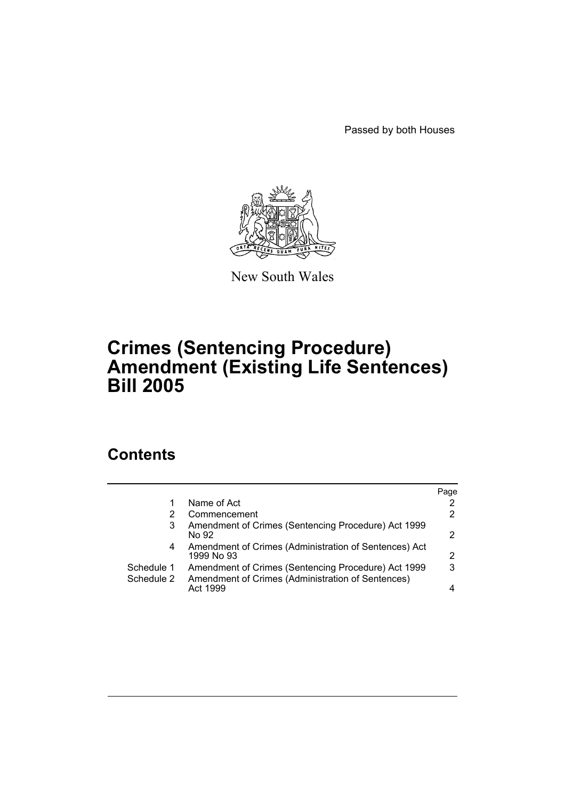Passed by both Houses



New South Wales

## **Crimes (Sentencing Procedure) Amendment (Existing Life Sentences) Bill 2005**

## **Contents**

|            |                                                                     | Page |
|------------|---------------------------------------------------------------------|------|
| 1          | Name of Act                                                         |      |
| 2          | Commencement                                                        | 2    |
| 3          | Amendment of Crimes (Sentencing Procedure) Act 1999<br>No 92        |      |
| 4          | Amendment of Crimes (Administration of Sentences) Act<br>1999 No 93 | 2    |
| Schedule 1 | Amendment of Crimes (Sentencing Procedure) Act 1999                 | 3    |
| Schedule 2 | Amendment of Crimes (Administration of Sentences)<br>Act 1999       |      |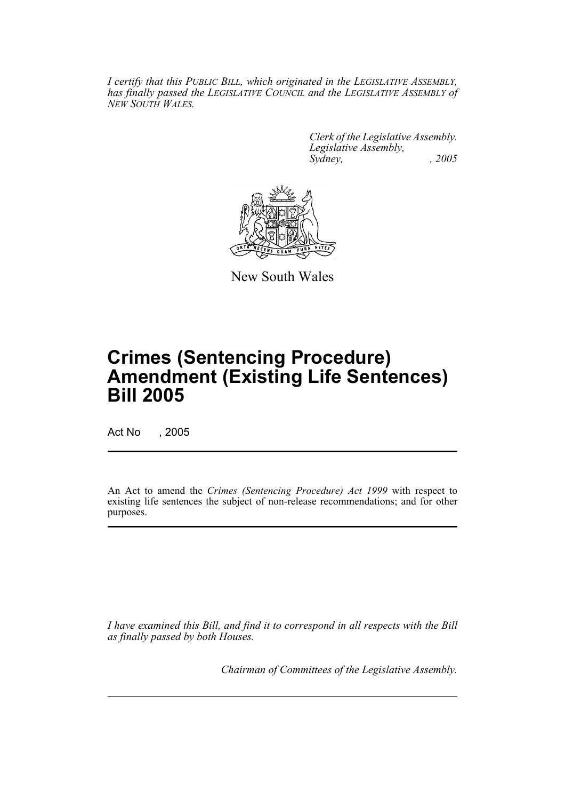*I certify that this PUBLIC BILL, which originated in the LEGISLATIVE ASSEMBLY, has finally passed the LEGISLATIVE COUNCIL and the LEGISLATIVE ASSEMBLY of NEW SOUTH WALES.*

> *Clerk of the Legislative Assembly. Legislative Assembly, Sydney, , 2005*



New South Wales

# **Crimes (Sentencing Procedure) Amendment (Existing Life Sentences) Bill 2005**

Act No , 2005

An Act to amend the *Crimes (Sentencing Procedure) Act 1999* with respect to existing life sentences the subject of non-release recommendations; and for other purposes.

*I have examined this Bill, and find it to correspond in all respects with the Bill as finally passed by both Houses.*

*Chairman of Committees of the Legislative Assembly.*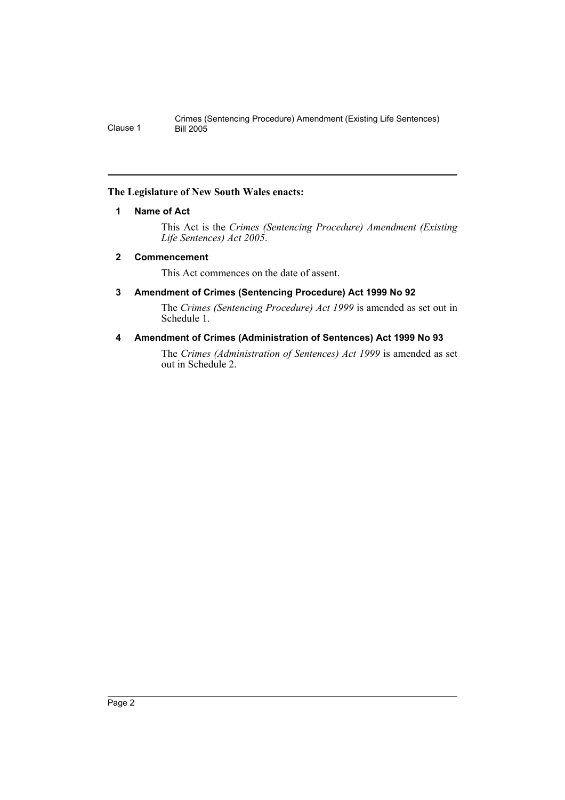### **The Legislature of New South Wales enacts:**

### **1 Name of Act**

This Act is the *Crimes (Sentencing Procedure) Amendment (Existing Life Sentences) Act 2005*.

### **2 Commencement**

This Act commences on the date of assent.

### **3 Amendment of Crimes (Sentencing Procedure) Act 1999 No 92**

The *Crimes (Sentencing Procedure) Act 1999* is amended as set out in Schedule 1.

### **4 Amendment of Crimes (Administration of Sentences) Act 1999 No 93**

The *Crimes (Administration of Sentences) Act 1999* is amended as set out in Schedule 2.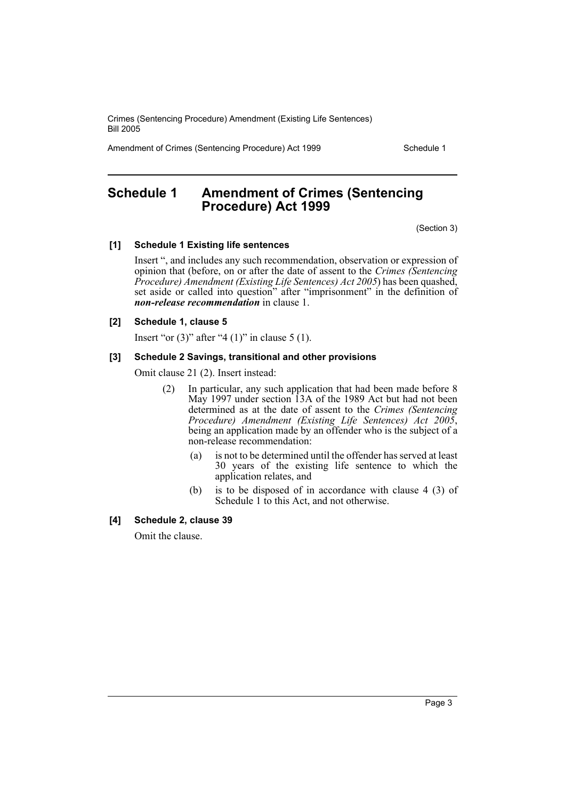Crimes (Sentencing Procedure) Amendment (Existing Life Sentences) Bill 2005

Amendment of Crimes (Sentencing Procedure) Act 1999 Schedule 1

### **Schedule 1 Amendment of Crimes (Sentencing Procedure) Act 1999**

(Section 3)

### **[1] Schedule 1 Existing life sentences**

Insert ", and includes any such recommendation, observation or expression of opinion that (before, on or after the date of assent to the *Crimes (Sentencing Procedure) Amendment (Existing Life Sentences) Act 2005*) has been quashed, set aside or called into question" after "imprisonment" in the definition of *non-release recommendation* in clause 1.

### **[2] Schedule 1, clause 5**

Insert "or  $(3)$ " after "4  $(1)$ " in clause 5  $(1)$ .

### **[3] Schedule 2 Savings, transitional and other provisions**

Omit clause 21 (2). Insert instead:

- (2) In particular, any such application that had been made before 8 May 1997 under section 13A of the 1989 Act but had not been determined as at the date of assent to the *Crimes (Sentencing Procedure) Amendment (Existing Life Sentences) Act 2005*, being an application made by an offender who is the subject of a non-release recommendation:
	- (a) is not to be determined until the offender has served at least 30 years of the existing life sentence to which the application relates, and
	- (b) is to be disposed of in accordance with clause 4 (3) of Schedule 1 to this Act, and not otherwise.

### **[4] Schedule 2, clause 39**

Omit the clause.